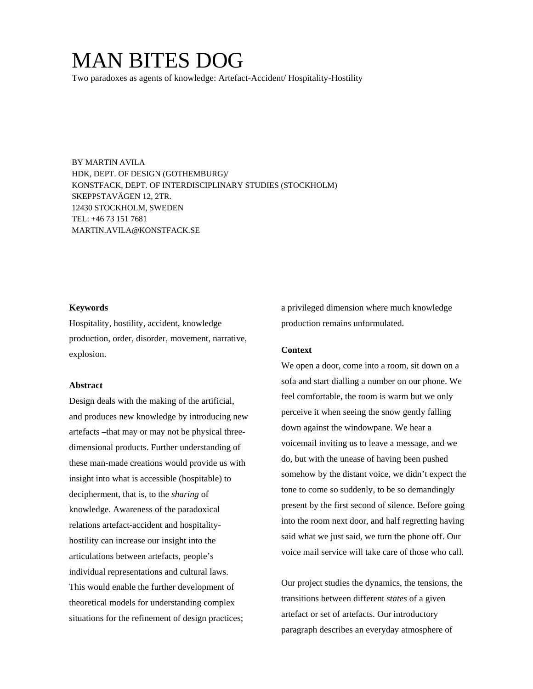# MAN BITES DOG

Two paradoxes as agents of knowledge: Artefact-Accident/ Hospitality-Hostility

BY MARTIN AVILA HDK, DEPT. OF DESIGN (GOTHEMBURG)/ KONSTFACK, DEPT. OF INTERDISCIPLINARY STUDIES (STOCKHOLM) SKEPPSTAVÄGEN 12, 2TR. 12430 STOCKHOLM, SWEDEN TEL: +46 73 151 7681 MARTIN.AVILA@KONSTFACK.SE

#### **Keywords**

Hospitality, hostility, accident, knowledge production, order, disorder, movement, narrative, explosion.

#### **Abstract**

Design deals with the making of the artificial, and produces new knowledge by introducing new artefacts –that may or may not be physical threedimensional products. Further understanding of these man-made creations would provide us with insight into what is accessible (hospitable) to decipherment, that is, to the *sharing* of knowledge. Awareness of the paradoxical relations artefact-accident and hospitalityhostility can increase our insight into the articulations between artefacts, people's individual representations and cultural laws. This would enable the further development of theoretical models for understanding complex situations for the refinement of design practices;

a privileged dimension where much knowledge production remains unformulated.

## **Context**

We open a door, come into a room, sit down on a sofa and start dialling a number on our phone. We feel comfortable, the room is warm but we only perceive it when seeing the snow gently falling down against the windowpane. We hear a voicemail inviting us to leave a message, and we do, but with the unease of having been pushed somehow by the distant voice, we didn't expect the tone to come so suddenly, to be so demandingly present by the first second of silence. Before going into the room next door, and half regretting having said what we just said, we turn the phone off. Our voice mail service will take care of those who call.

Our project studies the dynamics, the tensions, the transitions between different *states* of a given artefact or set of artefacts. Our introductory paragraph describes an everyday atmosphere of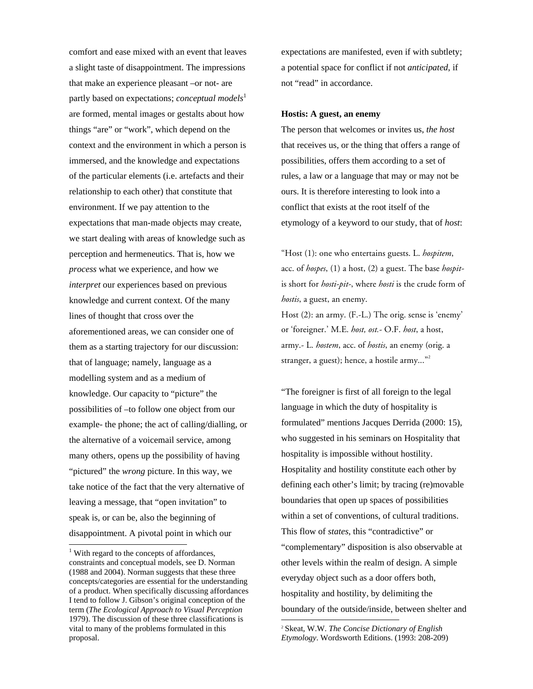comfort and ease mixed with an event that leaves a slight taste of disappointment. The impressions that make an experience pleasant –or not- are partly based on expectations; *conceptual models*<sup>1</sup> are formed, mental images or gestalts about how things "are" or "work", which depend on the context and the environment in which a person is immersed, and the knowledge and expectations of the particular elements (i.e. artefacts and their relationship to each other) that constitute that environment. If we pay attention to the expectations that man-made objects may create, we start dealing with areas of knowledge such as perception and hermeneutics. That is, how we *process* what we experience, and how we *interpret* our experiences based on previous knowledge and current context. Of the many lines of thought that cross over the aforementioned areas, we can consider one of them as a starting trajectory for our discussion: that of language; namely, language as a modelling system and as a medium of knowledge. Our capacity to "picture" the possibilities of –to follow one object from our example- the phone; the act of calling/dialling, or the alternative of a voicemail service, among many others, opens up the possibility of having "pictured" the *wrong* picture. In this way, we take notice of the fact that the very alternative of leaving a message, that "open invitation" to speak is, or can be, also the beginning of disappointment. A pivotal point in which our

 $\overline{a}$ 

expectations are manifested, even if with subtlety; a potential space for conflict if not *anticipated*, if not "read" in accordance.

## **Hostis: A guest, an enemy**

The person that welcomes or invites us, *the host* that receives us, or the thing that offers a range of possibilities, offers them according to a set of rules, a law or a language that may or may not be ours. It is therefore interesting to look into a conflict that exists at the root itself of the etymology of a keyword to our study, that of *host*:

"Host (1): one who entertains guests. L. *hospitem*, acc. of *hospes*, (1) a host, (2) a guest. The base *hospit*is short for *hosti-pit-*, where *hosti* is the crude form of *hostis*, a guest, an enemy. Host (2): an army. (F.-L.) The orig. sense is 'enemy' or 'foreigner.' M.E. *host, ost.*- O.F. *host*, a host, army.- L. *hostem*, acc. of *hostis*, an enemy (orig. a stranger, a guest); hence, a hostile army..."<sup>2</sup>

"The foreigner is first of all foreign to the legal language in which the duty of hospitality is formulated" mentions Jacques Derrida (2000: 15), who suggested in his seminars on Hospitality that hospitality is impossible without hostility. Hospitality and hostility constitute each other by defining each other's limit; by tracing (re)movable boundaries that open up spaces of possibilities within a set of conventions, of cultural traditions. This flow of *states*, this "contradictive" or "complementary" disposition is also observable at other levels within the realm of design. A simple everyday object such as a door offers both, hospitality and hostility, by delimiting the boundary of the outside/inside, between shelter and

-

<sup>&</sup>lt;sup>1</sup> With regard to the concepts of affordances, constraints and conceptual models, see D. Norman (1988 and 2004). Norman suggests that these three concepts/categories are essential for the understanding of a product. When specifically discussing affordances I tend to follow J. Gibson's original conception of the term (*The Ecological Approach to Visual Perception* 1979). The discussion of these three classifications is vital to many of the problems formulated in this proposal.

<sup>2</sup> Skeat, W.W. *The Concise Dictionary of English Etymology*. Wordsworth Editions. (1993: 208-209)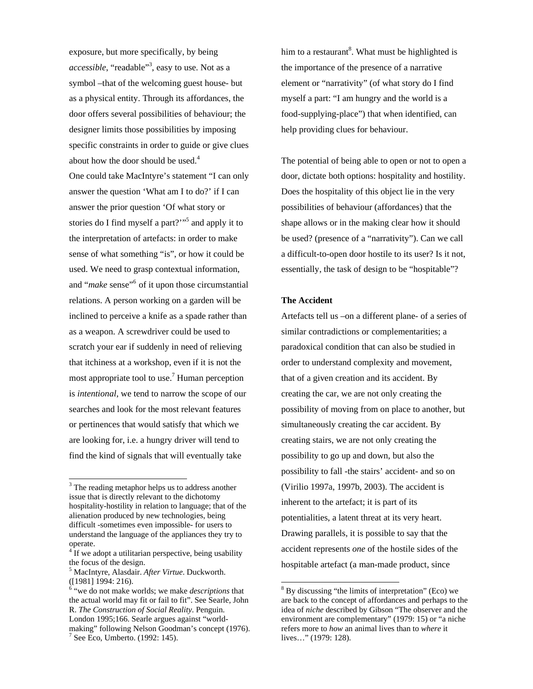exposure, but more specifically, by being *accessible*, "readable"3 , easy to use. Not as a symbol –that of the welcoming guest house- but as a physical entity. Through its affordances, the door offers several possibilities of behaviour; the designer limits those possibilities by imposing specific constraints in order to guide or give clues about how the door should be used.<sup>4</sup> One could take MacIntyre's statement "I can only answer the question 'What am I to do?' if I can answer the prior question 'Of what story or stories do I find myself a part?"<sup>5</sup> and apply it to the interpretation of artefacts: in order to make sense of what something "is", or how it could be used. We need to grasp contextual information, and "*make* sense"<sup>6</sup> of it upon those circumstantial relations. A person working on a garden will be inclined to perceive a knife as a spade rather than as a weapon. A screwdriver could be used to scratch your ear if suddenly in need of relieving that itchiness at a workshop, even if it is not the most appropriate tool to use.<sup>7</sup> Human perception is *intentional*, we tend to narrow the scope of our searches and look for the most relevant features or pertinences that would satisfy that which we are looking for, i.e. a hungry driver will tend to find the kind of signals that will eventually take

 $\overline{a}$ 

him to a restaurant<sup>8</sup>. What must be highlighted is the importance of the presence of a narrative element or "narrativity" (of what story do I find myself a part: "I am hungry and the world is a food-supplying-place") that when identified, can help providing clues for behaviour.

The potential of being able to open or not to open a door, dictate both options: hospitality and hostility. Does the hospitality of this object lie in the very possibilities of behaviour (affordances) that the shape allows or in the making clear how it should be used? (presence of a "narrativity"). Can we call a difficult-to-open door hostile to its user? Is it not, essentially, the task of design to be "hospitable"?

# **The Accident**

Artefacts tell us –on a different plane- of a series of similar contradictions or complementarities; a paradoxical condition that can also be studied in order to understand complexity and movement, that of a given creation and its accident. By creating the car, we are not only creating the possibility of moving from on place to another, but simultaneously creating the car accident. By creating stairs, we are not only creating the possibility to go up and down, but also the possibility to fall -the stairs' accident- and so on (Virilio 1997a, 1997b, 2003). The accident is inherent to the artefact; it is part of its potentialities, a latent threat at its very heart. Drawing parallels, it is possible to say that the accident represents *one* of the hostile sides of the hospitable artefact (a man-made product, since

<sup>&</sup>lt;sup>3</sup> The reading metaphor helps us to address another issue that is directly relevant to the dichotomy hospitality-hostility in relation to language; that of the alienation produced by new technologies, being difficult -sometimes even impossible- for users to understand the language of the appliances they try to operate.

 $4$  If we adopt a utilitarian perspective, being usability the focus of the design.

<sup>5</sup> MacIntyre, Alasdair. *After Virtue*. Duckworth. ([1981] 1994: 216).

<sup>6</sup> "we do not make worlds; we make *descriptions* that the actual world may fit or fail to fit". See Searle, John R. *The Construction of Social Reality*. Penguin. London 1995;166. Searle argues against "worldmaking" following Nelson Goodman's concept (1976). 7 See Eco, Umberto. (1992: 145).

<sup>&</sup>lt;sup>8</sup> By discussing "the limits of interpretation" (Eco) we are back to the concept of affordances and perhaps to the idea of *niche* described by Gibson "The observer and the environment are complementary" (1979: 15) or "a niche refers more to *how* an animal lives than to *where* it lives…" (1979: 128).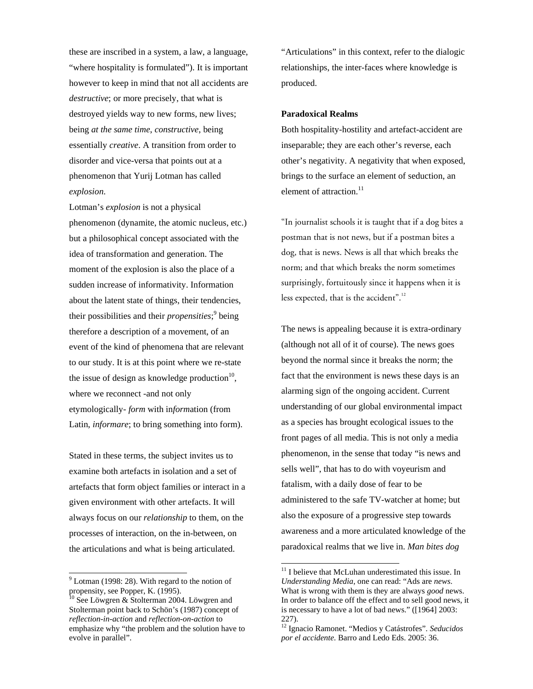these are inscribed in a system, a law, a language, "where hospitality is formulated"). It is important however to keep in mind that not all accidents are *destructive*; or more precisely, that what is destroyed yields way to new forms, new lives; being *at the same time*, *constructive*, being essentially *creative*. A transition from order to disorder and vice-versa that points out at a phenomenon that Yurij Lotman has called *explosion*.

Lotman's *explosion* is not a physical phenomenon (dynamite, the atomic nucleus, etc.) but a philosophical concept associated with the idea of transformation and generation. The moment of the explosion is also the place of a sudden increase of informativity. Information about the latent state of things, their tendencies, their possibilities and their *propensities*;<sup>9</sup> being therefore a description of a movement, of an event of the kind of phenomena that are relevant to our study. It is at this point where we re-state the issue of design as knowledge production $10$ , where we reconnect -and not only etymologically- *form* with in*form*ation (from Latin, *informare*; to bring something into form).

Stated in these terms, the subject invites us to examine both artefacts in isolation and a set of artefacts that form object families or interact in a given environment with other artefacts. It will always focus on our *relationship* to them, on the processes of interaction, on the in-between, on the articulations and what is being articulated.

 $\overline{a}$ 

"Articulations" in this context, refer to the dialogic relationships, the inter-faces where knowledge is produced.

## **Paradoxical Realms**

Both hospitality-hostility and artefact-accident are inseparable; they are each other's reverse, each other's negativity. A negativity that when exposed, brings to the surface an element of seduction, an element of attraction. $^{11}$ 

"In journalist schools it is taught that if a dog bites a postman that is not news, but if a postman bites a dog, that is news. News is all that which breaks the norm; and that which breaks the norm sometimes surprisingly, fortuitously since it happens when it is less expected, that is the accident".<sup>12</sup>

The news is appealing because it is extra-ordinary (although not all of it of course). The news goes beyond the normal since it breaks the norm; the fact that the environment is news these days is an alarming sign of the ongoing accident. Current understanding of our global environmental impact as a species has brought ecological issues to the front pages of all media. This is not only a media phenomenon, in the sense that today "is news and sells well", that has to do with voyeurism and fatalism, with a daily dose of fear to be administered to the safe TV-watcher at home; but also the exposure of a progressive step towards awareness and a more articulated knowledge of the paradoxical realms that we live in. *Man bites dog*

1

 $9^9$  Lotman (1998: 28). With regard to the notion of propensity, see Popper, K. (1995).

 $10$  See Löwgren & Stolterman 2004. Löwgren and Stolterman point back to Schön's (1987) concept of *reflection-in-action* and *reflection-on-action* to emphasize why "the problem and the solution have to evolve in parallel".

<sup>&</sup>lt;sup>11</sup> I believe that McLuhan underestimated this issue. In *Understanding Media*, one can read: "Ads are *news*. What is wrong with them is they are always *good* news. In order to balance off the effect and to sell good news, it is necessary to have a lot of bad news." ([1964] 2003: 227).

<sup>12</sup> Ignacio Ramonet. "Medios y Catástrofes". *Seducidos por el accidente.* Barro and Ledo Eds. 2005: 36.